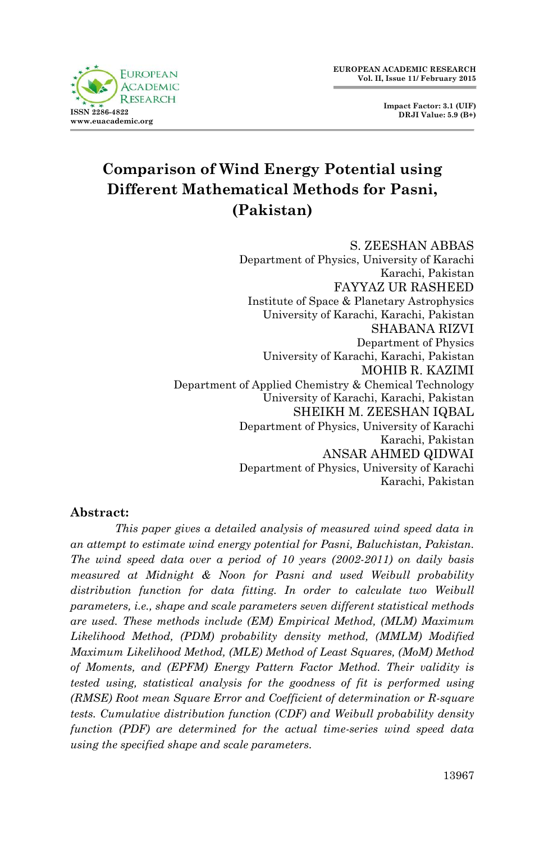

**Impact Factor: 3.1 (UIF) DRJI Value: 5.9 (B+)**

# **Comparison of Wind Energy Potential using Different Mathematical Methods for Pasni, (Pakistan)**

S. ZEESHAN ABBAS Department of Physics, University of Karachi Karachi, Pakistan FAYYAZ UR RASHEED Institute of Space & Planetary Astrophysics University of Karachi, Karachi, Pakistan SHABANA RIZVI Department of Physics University of Karachi, Karachi, Pakistan MOHIB R. KAZIMI Department of Applied Chemistry & Chemical Technology University of Karachi, Karachi, Pakistan SHEIKH M. ZEESHAN IQBAL Department of Physics, University of Karachi Karachi, Pakistan ANSAR AHMED QIDWAI Department of Physics, University of Karachi Karachi, Pakistan

# **Abstract:**

*This paper gives a detailed analysis of measured wind speed data in an attempt to estimate wind energy potential for Pasni, Baluchistan, Pakistan. The wind speed data over a period of 10 years (2002-2011) on daily basis measured at Midnight & Noon for Pasni and used Weibull probability distribution function for data fitting. In order to calculate two Weibull parameters, i.e., shape and scale parameters seven different statistical methods are used. These methods include (EM) Empirical Method, (MLM) Maximum Likelihood Method, (PDM) probability density method, (MMLM) Modified Maximum Likelihood Method, (MLE) Method of Least Squares, (MoM) Method of Moments, and (EPFM) Energy Pattern Factor Method. Their validity is tested using, statistical analysis for the goodness of fit is performed using (RMSE) Root mean Square Error and Coefficient of determination or R-square tests. Cumulative distribution function (CDF) and Weibull probability density function (PDF) are determined for the actual time-series wind speed data using the specified shape and scale parameters.*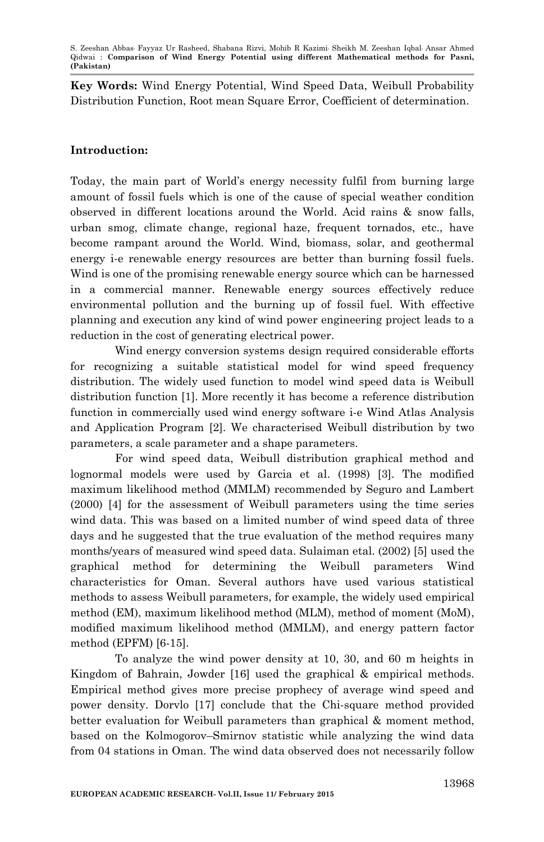**Key Words:** Wind Energy Potential, Wind Speed Data, Weibull Probability Distribution Function, Root mean Square Error, Coefficient of determination.

# **Introduction:**

Today, the main part of World's energy necessity fulfil from burning large amount of fossil fuels which is one of the cause of special weather condition observed in different locations around the World. Acid rains & snow falls, urban smog, climate change, regional haze, frequent tornados, etc., have become rampant around the World. Wind, biomass, solar, and geothermal energy i-e renewable energy resources are better than burning fossil fuels. Wind is one of the promising renewable energy source which can be harnessed in a commercial manner. Renewable energy sources effectively reduce environmental pollution and the burning up of fossil fuel. With effective planning and execution any kind of wind power engineering project leads to a reduction in the cost of generating electrical power.

Wind energy conversion systems design required considerable efforts for recognizing a suitable statistical model for wind speed frequency distribution. The widely used function to model wind speed data is Weibull distribution function [1]. More recently it has become a reference distribution function in commercially used wind energy software i-e Wind Atlas Analysis and Application Program [2]. We characterised Weibull distribution by two parameters, a scale parameter and a shape parameters.

For wind speed data, Weibull distribution graphical method and lognormal models were used by Garcia et al. (1998) [3]. The modified maximum likelihood method (MMLM) recommended by Seguro and Lambert (2000) [4] for the assessment of Weibull parameters using the time series wind data. This was based on a limited number of wind speed data of three days and he suggested that the true evaluation of the method requires many months/years of measured wind speed data. Sulaiman etal. (2002) [5] used the graphical method for determining the Weibull parameters Wind characteristics for Oman. Several authors have used various statistical methods to assess Weibull parameters, for example, the widely used empirical method (EM), maximum likelihood method (MLM), method of moment (MoM), modified maximum likelihood method (MMLM), and energy pattern factor method (EPFM) [6-15].

To analyze the wind power density at 10, 30, and 60 m heights in Kingdom of Bahrain, Jowder [16] used the graphical & empirical methods. Empirical method gives more precise prophecy of average wind speed and power density. Dorvlo [17] conclude that the Chi-square method provided better evaluation for Weibull parameters than graphical & moment method, based on the Kolmogorov–Smirnov statistic while analyzing the wind data from 04 stations in Oman. The wind data observed does not necessarily follow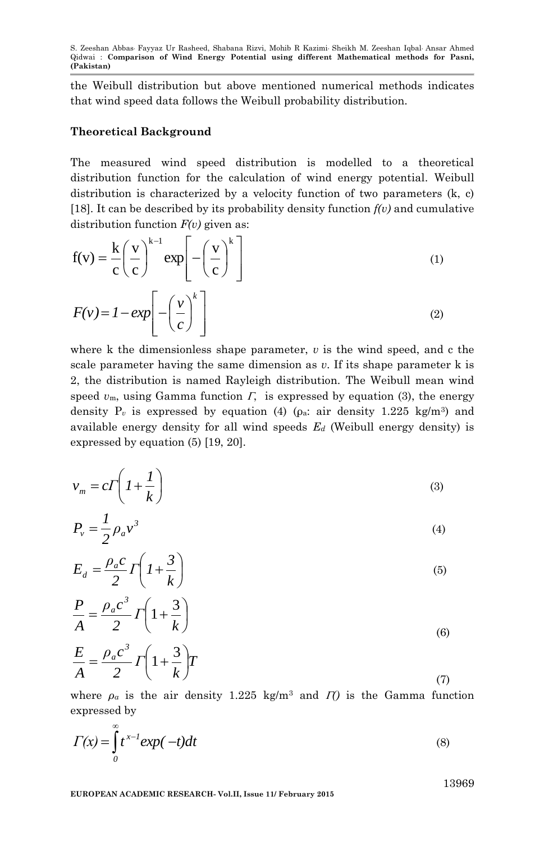the Weibull distribution but above mentioned numerical methods indicates that wind speed data follows the Weibull probability distribution.

### **Theoretical Background**

The measured wind speed distribution is modelled to a theoretical distribution function for the calculation of wind energy potential. Weibull distribution is characterized by a velocity function of two parameters (k, c) [18]. It can be described by its probability density function *f(v)* and cumulative distribution function *F(v)* given as:

$$
f(v) = \frac{k}{c} \left(\frac{v}{c}\right)^{k-1} \exp\left[-\left(\frac{v}{c}\right)^{k}\right]
$$
  
(1)  

$$
F(v) = 1 - \exp\left[-\left(\frac{v}{c}\right)^{k}\right]
$$
  
(2)

where k the dimensionless shape parameter,  $v$  is the wind speed, and c the scale parameter having the same dimension as *v*. If its shape parameter k is 2, the distribution is named Rayleigh distribution. The Weibull mean wind speed  $v_m$ , using Gamma function  $\Gamma$ , is expressed by equation (3), the energy density  $P_v$  is expressed by equation (4) ( $\rho_a$ : air density 1.225 kg/m<sup>3</sup>) and available energy density for all wind speeds *E<sup>d</sup>* (Weibull energy density) is expressed by equation (5) [19, 20].

$$
v_m = c \Gamma \left( I + \frac{I}{k} \right) \tag{3}
$$

$$
P_v = \frac{1}{2} \rho_a v^3 \tag{4}
$$

$$
E_d = \frac{\rho_a c}{2} \Gamma \left( I + \frac{3}{k} \right) \tag{5}
$$

$$
\frac{P}{A} = \frac{\rho_a c^3}{2} \Gamma\left(1 + \frac{3}{k}\right)
$$
\n
$$
F = \rho_a c^3 \left(1 + \frac{3}{k}\right)
$$
\n(6)

$$
\frac{E}{A} = \frac{\rho_a c^3}{2} \Gamma \left( 1 + \frac{3}{k} \right) T \tag{7}
$$

where  $\rho_a$  is the air density 1.225 kg/m<sup>3</sup> and *I*() is the Gamma function expressed by

$$
\Gamma(x) = \int_{0}^{\infty} t^{x-l} \exp(-t) dt
$$
\n(8)

13969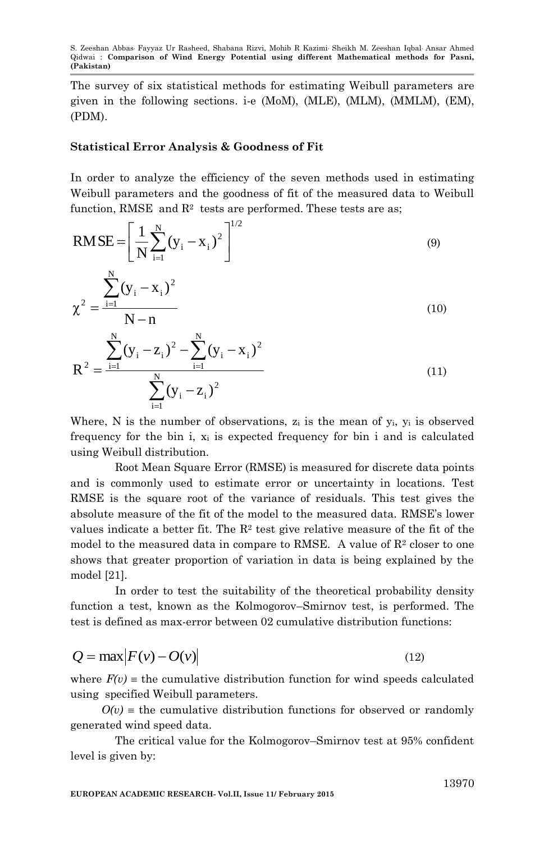The survey of six statistical methods for estimating Weibull parameters are given in the following sections. i-e (MoM), (MLE), (MLM), (MMLM), (EM), (PDM).

## **Statistical Error Analysis & Goodness of Fit**

 $i = 1$ 

In order to analyze the efficiency of the seven methods used in estimating Weibull parameters and the goodness of fit of the measured data to Weibull function, RMSE  $% \left( \beta \right)$  and  $\mathbb{R}^{2}$  tests are performed. These tests are as;

$$
RMSE = \left[\frac{1}{N} \sum_{i=1}^{N} (y_i - x_i)^2\right]^{1/2}
$$
\n
$$
\chi^2 = \frac{\sum_{i=1}^{N} (y_i - x_i)^2}{N - n}
$$
\n
$$
R^2 = \frac{\sum_{i=1}^{N} (y_i - z_i)^2 - \sum_{i=1}^{N} (y_i - x_i)^2}{\sum_{i=1}^{N} (y_i - z_i)^2}
$$
\n(11)

Where, N is the number of observations,  $z_i$  is the mean of  $y_i$ ,  $y_i$  is observed frequency for the bin i,  $x_i$  is expected frequency for bin i and is calculated using Weibull distribution.

Root Mean Square Error (RMSE) is measured for discrete data points and is commonly used to estimate error or uncertainty in locations. Test RMSE is the square root of the variance of residuals. This test gives the absolute measure of the fit of the model to the measured data. RMSE's lower values indicate a better fit. The  $\mathbb{R}^2$  test give relative measure of the fit of the model to the measured data in compare to RMSE. A value of  $\mathbb{R}^2$  closer to one shows that greater proportion of variation in data is being explained by the model [21].

In order to test the suitability of the theoretical probability density function a test, known as the Kolmogorov–Smirnov test, is performed. The test is defined as max-error between 02 cumulative distribution functions:

$$
Q = \max |F(v) - O(v)| \tag{12}
$$

where  $F(v)$  = the cumulative distribution function for wind speeds calculated using specified Weibull parameters.

 $O(v)$  = the cumulative distribution functions for observed or randomly generated wind speed data.

The critical value for the Kolmogorov–Smirnov test at 95% confident level is given by: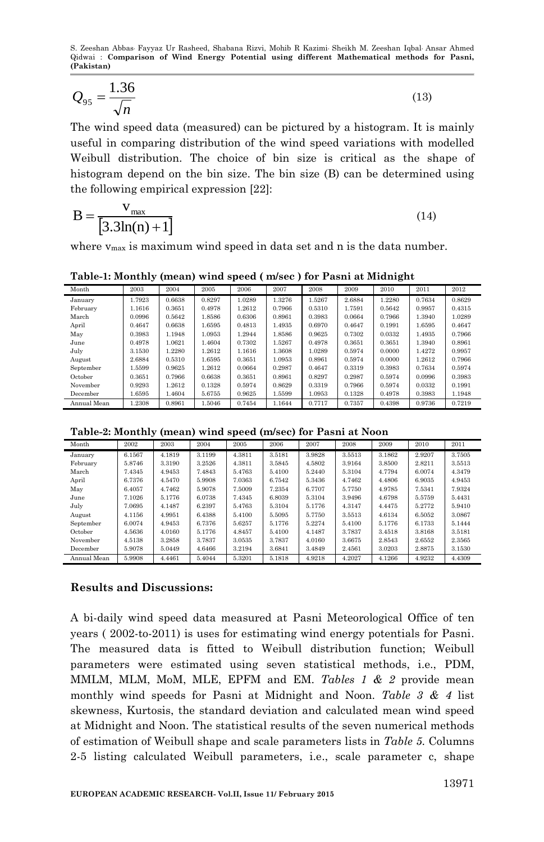$$
Q_{95} = \frac{1.36}{\sqrt{n}}\tag{13}
$$

The wind speed data (measured) can be pictured by a histogram. It is mainly useful in comparing distribution of the wind speed variations with modelled Weibull distribution. The choice of bin size is critical as the shape of histogram depend on the bin size. The bin size (B) can be determined using the following empirical expression [22]:

$$
B = \frac{v_{\text{max}}}{[3.3\ln(n) + 1]}
$$
\n(14)

where  $v_{\text{max}}$  is maximum wind speed in data set and n is the data number.

**Table-1: Monthly (mean) wind speed ( m/sec ) for Pasni at Midnight**

| Month       | 2003   | 2004   | 2005   | 2006   | 2007   | 2008   | 2009   | 2010   | 2011   | 2012   |
|-------------|--------|--------|--------|--------|--------|--------|--------|--------|--------|--------|
| January     | 1.7923 | 0.6638 | 0.8297 | 1.0289 | 1.3276 | 1.5267 | 2.6884 | 1.2280 | 0.7634 | 0.8629 |
| February    | 1.1616 | 0.3651 | 0.4978 | 1.2612 | 0.7966 | 0.5310 | 1.7591 | 0.5642 | 0.9957 | 0.4315 |
| March       | 0.0996 | 0.5642 | 1.8586 | 0.6306 | 0.8961 | 0.3983 | 0.0664 | 0.7966 | 1.3940 | 1.0289 |
| April       | 0.4647 | 0.6638 | 1.6595 | 0.4813 | 1.4935 | 0.6970 | 0.4647 | 0.1991 | 1.6595 | 0.4647 |
| May         | 0.3983 | 1.1948 | 1.0953 | 1.2944 | 1.8586 | 0.9625 | 0.7302 | 0.0332 | 1.4935 | 0.7966 |
| June        | 0.4978 | .0621  | 1.4604 | 0.7302 | 1.5267 | 0.4978 | 0.3651 | 0.3651 | 1.3940 | 0.8961 |
| July        | 3.1530 | 1.2280 | 1.2612 | 1.1616 | 1.3608 | 1.0289 | 0.5974 | 0.0000 | 1.4272 | 0.9957 |
| August      | 2.6884 | 0.5310 | 1.6595 | 0.3651 | 1.0953 | 0.8961 | 0.5974 | 0.0000 | 1.2612 | 0.7966 |
| September   | .5599  | 0.9625 | 1.2612 | 0.0664 | 0.2987 | 0.4647 | 0.3319 | 0.3983 | 0.7634 | 0.5974 |
| October     | 0.3651 | 0.7966 | 0.6638 | 0.3651 | 0.8961 | 0.8297 | 0.2987 | 0.5974 | 0.0996 | 0.3983 |
| November    | 0.9293 | 1.2612 | 0.1328 | 0.5974 | 0.8629 | 0.3319 | 0.7966 | 0.5974 | 0.0332 | 0.1991 |
| December    | 1.6595 | 1.4604 | 5.6755 | 0.9625 | 1.5599 | 1.0953 | 0.1328 | 0.4978 | 0.3983 | 1.1948 |
| Annual Mean | 1.2308 | 0.8961 | 1.5046 | 0.7454 | 1.1644 | 0.7717 | 0.7357 | 0.4398 | 0.9736 | 0.7219 |

**Table-2: Monthly (mean) wind speed (m/sec) for Pasni at Noon**

| Month       | 2002   | 2003   | 2004   | 2005   | 2006   | 2007   | 2008   | 2009   | 2010   | 2011   |
|-------------|--------|--------|--------|--------|--------|--------|--------|--------|--------|--------|
| January     | 6.1567 | 4.1819 | 3.1199 | 4.3811 | 3.5181 | 3.9828 | 3.5513 | 3.1862 | 2.9207 | 3.7505 |
| February    | 5.8746 | 3.3190 | 3.2526 | 4.3811 | 3.5845 | 4.5802 | 3.9164 | 3.8500 | 2.8211 | 3.5513 |
| March       | 7.4345 | 4.9453 | 7.4843 | 5.4763 | 5.4100 | 5.2440 | 5.3104 | 4.7794 | 6.0074 | 4.3479 |
| April       | 6.7376 | 4.5470 | 5.9908 | 7.0363 | 6.7542 | 5.3436 | 4.7462 | 4.4806 | 6.9035 | 4.9453 |
| May         | 6.4057 | 4.7462 | 5.9078 | 7.5009 | 7.2354 | 6.7707 | 5.7750 | 4.9785 | 7.5341 | 7.9324 |
| June        | 7.1026 | 5.1776 | 6.0738 | 7.4345 | 6.8039 | 5.3104 | 3.9496 | 4.6798 | 5.5759 | 5.4431 |
| July        | 7.0695 | 4.1487 | 6.2397 | 5.4763 | 5.3104 | 5.1776 | 4.3147 | 4.4475 | 5.2772 | 5.9410 |
| August      | 4.1156 | 4.9951 | 6.4388 | 5.4100 | 5.5095 | 5.7750 | 3.5513 | 4.6134 | 6.5052 | 3.0867 |
| September   | 6.0074 | 4.9453 | 6.7376 | 5.6257 | 5.1776 | 5.2274 | 5.4100 | 5.1776 | 6.1733 | 5.1444 |
| October     | 4.5636 | 4.0160 | 5.1776 | 4.8457 | 5.4100 | 4.1487 | 3.7837 | 3.4518 | 3.8168 | 3.5181 |
| November    | 4.5138 | 3.2858 | 3.7837 | 3.0535 | 3.7837 | 4.0160 | 3.6675 | 2.8543 | 2.6552 | 2.3565 |
| December    | 5.9078 | 5.0449 | 4.6466 | 3.2194 | 3.6841 | 3.4849 | 2.4561 | 3.0203 | 2.8875 | 3.1530 |
| Annual Mean | 5.9908 | 4.4461 | 5.4044 | 5.3201 | 5.1818 | 4.9218 | 4.2027 | 4.1266 | 4.9232 | 4.4309 |

## **Results and Discussions:**

A bi-daily wind speed data measured at Pasni Meteorological Office of ten years ( 2002-to-2011) is uses for estimating wind energy potentials for Pasni. The measured data is fitted to Weibull distribution function; Weibull parameters were estimated using seven statistical methods, i.e., PDM, MMLM, MLM, MoM, MLE, EPFM and EM. *Tables 1 & 2* provide mean monthly wind speeds for Pasni at Midnight and Noon. *Table 3 & 4* list skewness, Kurtosis, the standard deviation and calculated mean wind speed at Midnight and Noon. The statistical results of the seven numerical methods of estimation of Weibull shape and scale parameters lists in *Table 5.* Columns 2-5 listing calculated Weibull parameters, i.e., scale parameter c, shape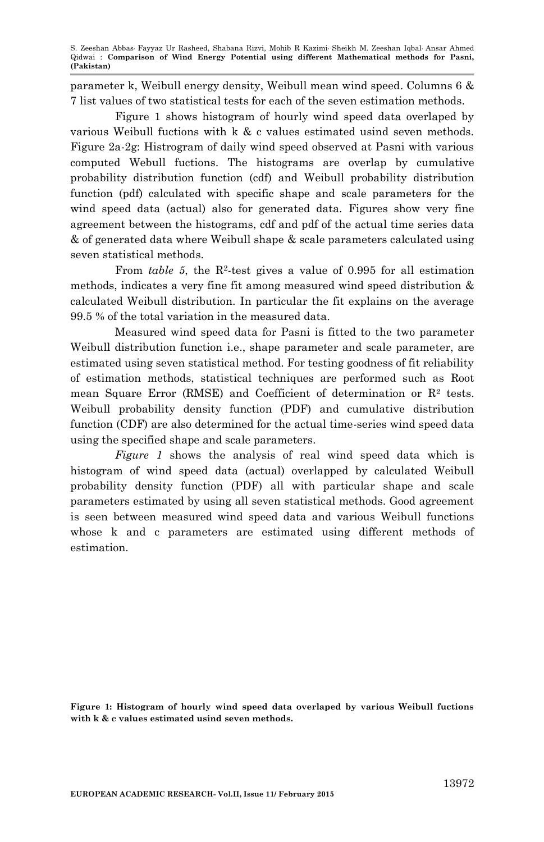parameter k, Weibull energy density, Weibull mean wind speed. Columns 6 & 7 list values of two statistical tests for each of the seven estimation methods.

Figure 1 shows histogram of hourly wind speed data overlaped by various Weibull fuctions with k & c values estimated usind seven methods. Figure 2a-2g: Histrogram of daily wind speed observed at Pasni with various computed Webull fuctions. The histograms are overlap by cumulative probability distribution function (cdf) and Weibull probability distribution function (pdf) calculated with specific shape and scale parameters for the wind speed data (actual) also for generated data. Figures show very fine agreement between the histograms, cdf and pdf of the actual time series data & of generated data where Weibull shape & scale parameters calculated using seven statistical methods.

From *table* 5, the  $R^2$ -test gives a value of 0.995 for all estimation methods, indicates a very fine fit among measured wind speed distribution & calculated Weibull distribution. In particular the fit explains on the average 99.5 % of the total variation in the measured data.

Measured wind speed data for Pasni is fitted to the two parameter Weibull distribution function i.e., shape parameter and scale parameter, are estimated using seven statistical method. For testing goodness of fit reliability of estimation methods, statistical techniques are performed such as Root mean Square Error (RMSE) and Coefficient of determination or  $\mathbb{R}^2$  tests. Weibull probability density function (PDF) and cumulative distribution function (CDF) are also determined for the actual time-series wind speed data using the specified shape and scale parameters.

*Figure 1* shows the analysis of real wind speed data which is histogram of wind speed data (actual) overlapped by calculated Weibull probability density function (PDF) all with particular shape and scale parameters estimated by using all seven statistical methods. Good agreement is seen between measured wind speed data and various Weibull functions whose k and c parameters are estimated using different methods of estimation.

**Figure 1: Histogram of hourly wind speed data overlaped by various Weibull fuctions with k & c values estimated usind seven methods.**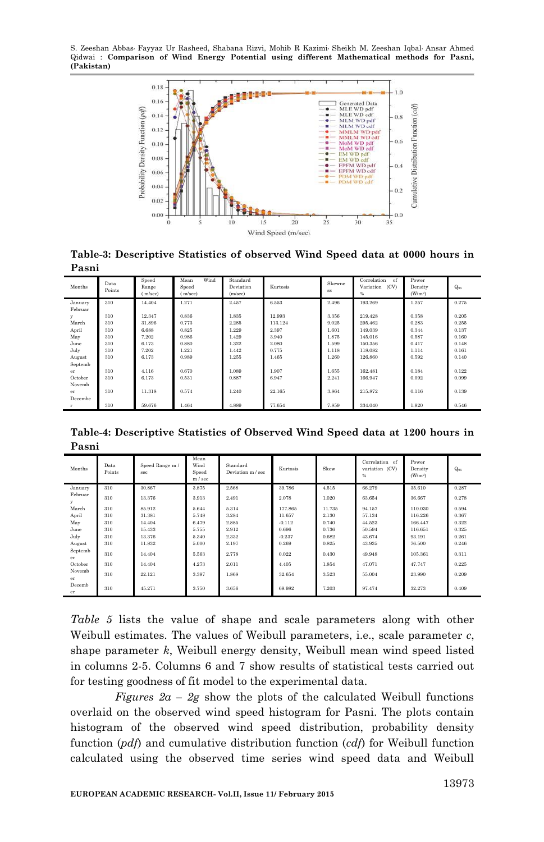S. Zeeshan Abbas, Fayyaz Ur Rasheed, Shabana Rizvi, Mohib R Kazimi, Sheikh M. Zeeshan Iqbal, Ansar Ahmed Qidwai : **Comparison of Wind Energy Potential using different Mathematical methods for Pasni, (Pakistan)**



**Table-3: Descriptive Statistics of observed Wind Speed data at 0000 hours in Pasni**

| Months  | Data<br>Points | Speed<br>Range<br>m/sec) | Wind<br>Mean<br>Speed<br>m/sec) | Standard<br>Deviation<br>(m/sec) | Kurtosis | Skewne<br><b>SS</b> | Correlation<br>of<br>Variation (CV)<br>% | Power<br>Density<br>(W/m <sup>2</sup> ) | Qos   |
|---------|----------------|--------------------------|---------------------------------|----------------------------------|----------|---------------------|------------------------------------------|-----------------------------------------|-------|
| January | 310            | 14.404                   | 1.271                           | 2.457                            | 6.553    | 2.496               | 193.269                                  | 1.257                                   | 0.275 |
| Februar |                |                          |                                 |                                  |          |                     |                                          |                                         |       |
| у       | 310            | 12.347                   | 0.836                           | 1.835                            | 12.993   | 3.356               | 219.428                                  | 0.358                                   | 0.205 |
| March   | 310            | 31.896                   | 0.773                           | 2.285                            | 113.124  | 9.025               | 295.462                                  | 0.283                                   | 0.255 |
| April   | 310            | 6.688                    | 0.825                           | 1.229                            | 2.397    | 1.601               | 149.039                                  | 0.344                                   | 0.137 |
| May     | 310            | 7.202                    | 0.986                           | 1.429                            | 3.940    | 1.875               | 145,016                                  | 0.587                                   | 0.160 |
| June    | 310            | 6.173                    | 0.880                           | 1.322                            | 2.080    | 1.599               | 150,356                                  | 0.417                                   | 0.148 |
| July    | 310            | 7.202                    | 1.221                           | 1.442                            | 0.775    | 1.118               | 118.082                                  | 1.114                                   | 0.161 |
| August  | 310            | 6.173                    | 0.989                           | 1.255                            | 1.465    | 1.260               | 126,860                                  | 0.592                                   | 0.140 |
| Septemb |                |                          |                                 |                                  |          |                     |                                          |                                         |       |
| er      | 310            | 4.116                    | 0.670                           | 1.089                            | 1.907    | 1.655               | 162.481                                  | 0.184                                   | 0.122 |
| October | 310            | 6.173                    | 0.531                           | 0.887                            | 6.947    | 2.241               | 166,947                                  | 0.092                                   | 0.099 |
| Novemb  |                |                          |                                 |                                  |          |                     |                                          |                                         |       |
| er      | 310            | 11.318                   | 0.574                           | 1.240                            | 22.165   | 3.864               | 215.872                                  | 0.116                                   | 0.139 |
| Decembe |                |                          |                                 |                                  |          |                     |                                          |                                         |       |
| r       | 310            | 59.676                   | 1.464                           | 4.889                            | 77.654   | 7.859               | 334.040                                  | 1.920                                   | 0.546 |

**Table-4: Descriptive Statistics of Observed Wind Speed data at 1200 hours in Pasni**

| Months        | Data<br>Points | Speed Range m /<br>sec | Mean<br>Wind<br>Speed<br>m / sec | Standard<br>Deviation m / sec | Kurtosis | Skew   | Correlation of<br>variation (CV)<br>% | Power<br>Density<br>(W/m <sup>2</sup> ) | Qos   |
|---------------|----------------|------------------------|----------------------------------|-------------------------------|----------|--------|---------------------------------------|-----------------------------------------|-------|
| January       | 310            | 30.867                 | 3.875                            | 2.568                         | 39.786   | 4.515  | 66.279                                | 35.610                                  | 0.287 |
| Februar<br>y  | 310            | 13.376                 | 3.913                            | 2.491                         | 2.078    | 1.020  | 63.654                                | 36.667                                  | 0.278 |
| March         | 310            | 85.912                 | 5.644                            | 5.314                         | 177.865  | 11.735 | 94.157                                | 110,030                                 | 0.594 |
| April         | 310            | 31.381                 | 5.748                            | 3.284                         | 11.657   | 2.130  | 57.134                                | 116.226                                 | 0.367 |
| May           | 310            | 14.404                 | 6.479                            | 2.885                         | $-0.112$ | 0.740  | 44.523                                | 166.447                                 | 0.322 |
| June          | 310            | 15.433                 | 5.755                            | 2.912                         | 0.696    | 0.736  | 50.594                                | 116.651                                 | 0.325 |
| July          | 310            | 13.376                 | 5.340                            | 2.332                         | $-0.237$ | 0.682  | 43.674                                | 93.191                                  | 0.261 |
| August        | 310            | 11.832                 | 5.000                            | 2.197                         | 0.269    | 0.825  | 43.935                                | 76.500                                  | 0.246 |
| Septemb<br>er | 310            | 14.404                 | 5.563                            | 2.778                         | 0.022    | 0.430  | 49.948                                | 105,361                                 | 0.311 |
| October       | 310            | 14.404                 | 4.273                            | 2.011                         | 4.405    | 1.854  | 47.071                                | 47.747                                  | 0.225 |
| Novemb<br>er  | 310            | 22.121                 | 3.397                            | 1.868                         | 32.654   | 3.523  | 55.004                                | 23.990                                  | 0.209 |
| Decemb<br>er  | 310            | 45.271                 | 3.750                            | 3.656                         | 69.982   | 7.203  | 97.474                                | 32.273                                  | 0.409 |

*Table 5* lists the value of shape and scale parameters along with other Weibull estimates. The values of Weibull parameters, i.e., scale parameter *c*, shape parameter *k*, Weibull energy density, Weibull mean wind speed listed in columns 2-5. Columns 6 and 7 show results of statistical tests carried out for testing goodness of fit model to the experimental data.

*Figures 2a – 2g* show the plots of the calculated Weibull functions overlaid on the observed wind speed histogram for Pasni. The plots contain histogram of the observed wind speed distribution, probability density function (*pdf*) and cumulative distribution function (*cdf*) for Weibull function calculated using the observed time series wind speed data and Weibull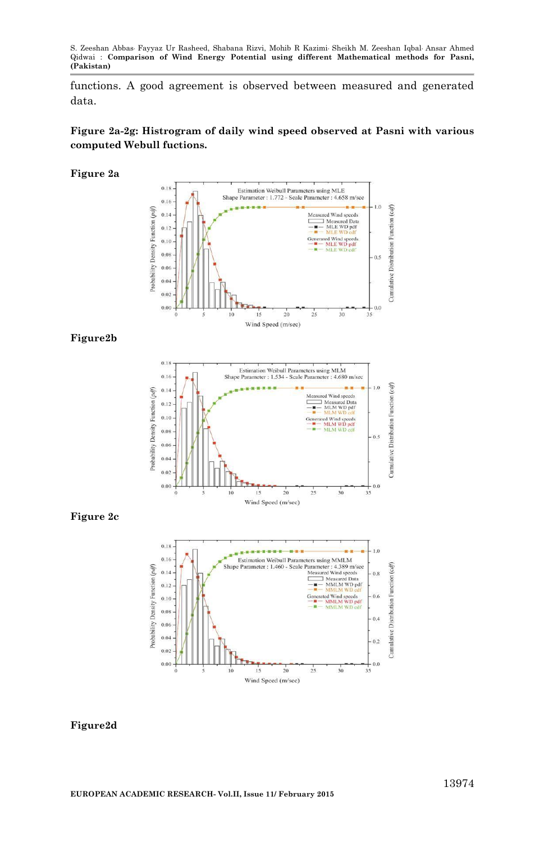functions. A good agreement is observed between measured and generated data.

# **Figure 2a-2g: Histrogram of daily wind speed observed at Pasni with various computed Webull fuctions.**

#### **Figure 2a**



## **Figure2b**



### **Figure 2c**



### **Figure2d**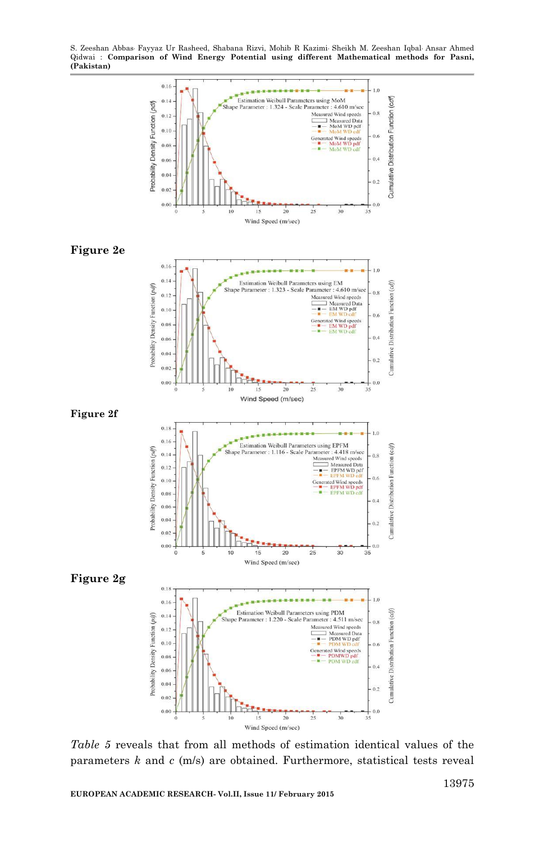S. Zeeshan Abbas, Fayyaz Ur Rasheed, Shabana Rizvi, Mohib R Kazimi, Sheikh M. Zeeshan Iqbal, Ansar Ahmed Qidwai : **Comparison of Wind Energy Potential using different Mathematical methods for Pasni, (Pakistan)**



*Table 5* reveals that from all methods of estimation identical values of the parameters *k* and *c* (m/s) are obtained. Furthermore, statistical tests reveal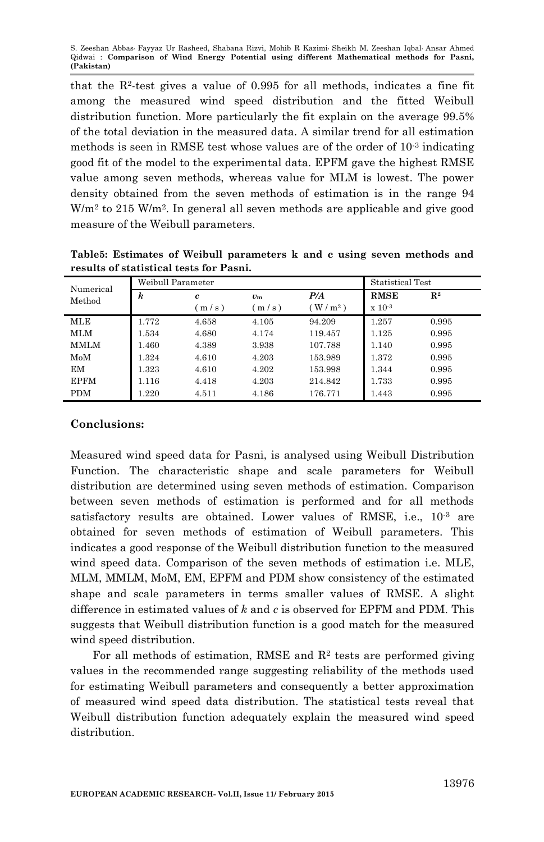that the R<sup>2</sup> -test gives a value of 0.995 for all methods, indicates a fine fit among the measured wind speed distribution and the fitted Weibull distribution function. More particularly the fit explain on the average 99.5% of the total deviation in the measured data. A similar trend for all estimation methods is seen in RMSE test whose values are of the order of 10<sup>-3</sup> indicating good fit of the model to the experimental data. EPFM gave the highest RMSE value among seven methods, whereas value for MLM is lowest. The power density obtained from the seven methods of estimation is in the range 94  $W/m<sup>2</sup>$  to 215  $W/m<sup>2</sup>$ . In general all seven methods are applicable and give good measure of the Weibull parameters.

| results of statistical tests for Pashi. |                   |       |             |                  |               |                |  |  |  |  |
|-----------------------------------------|-------------------|-------|-------------|------------------|---------------|----------------|--|--|--|--|
| Numerical<br>Method                     | Weibull Parameter |       |             | Statistical Test |               |                |  |  |  |  |
|                                         | k                 | c     | $v_{\rm m}$ | P/A              | <b>RMSE</b>   | $\mathbf{R}^2$ |  |  |  |  |
|                                         |                   | m/s)  | m/s)        | $W/m^2$ )        | $\ge 10^{-3}$ |                |  |  |  |  |
| MLE                                     | 1.772             | 4.658 | 4.105       | 94.209           | 1.257         | 0.995          |  |  |  |  |
| MLM                                     | 1.534             | 4.680 | 4.174       | 119.457          | 1.125         | 0.995          |  |  |  |  |
| MMLM                                    | 1.460             | 4.389 | 3.938       | 107.788          | 1.140         | 0.995          |  |  |  |  |
| MoM                                     | 1.324             | 4.610 | 4.203       | 153.989          | 1.372         | 0.995          |  |  |  |  |
| EМ                                      | 1.323             | 4.610 | 4.202       | 153.998          | 1.344         | 0.995          |  |  |  |  |
| EPFM                                    | 1.116             | 4.418 | 4.203       | 214.842          | 1.733         | 0.995          |  |  |  |  |

PDM 1.220 4.511 4.186 176.771 1.443 0.995

**Table5: Estimates of Weibull parameters k and c using seven methods and results of statistical tests for Pasni.**

# **Conclusions:**

Measured wind speed data for Pasni, is analysed using Weibull Distribution Function. The characteristic shape and scale parameters for Weibull distribution are determined using seven methods of estimation. Comparison between seven methods of estimation is performed and for all methods satisfactory results are obtained. Lower values of RMSE, i.e., 10<sup>-3</sup> are obtained for seven methods of estimation of Weibull parameters. This indicates a good response of the Weibull distribution function to the measured wind speed data. Comparison of the seven methods of estimation i.e. MLE, MLM, MMLM, MoM, EM, EPFM and PDM show consistency of the estimated shape and scale parameters in terms smaller values of RMSE. A slight difference in estimated values of *k* and *c* is observed for EPFM and PDM. This suggests that Weibull distribution function is a good match for the measured wind speed distribution.

For all methods of estimation, RMSE and  $\mathbb{R}^2$  tests are performed giving values in the recommended range suggesting reliability of the methods used for estimating Weibull parameters and consequently a better approximation of measured wind speed data distribution. The statistical tests reveal that Weibull distribution function adequately explain the measured wind speed distribution.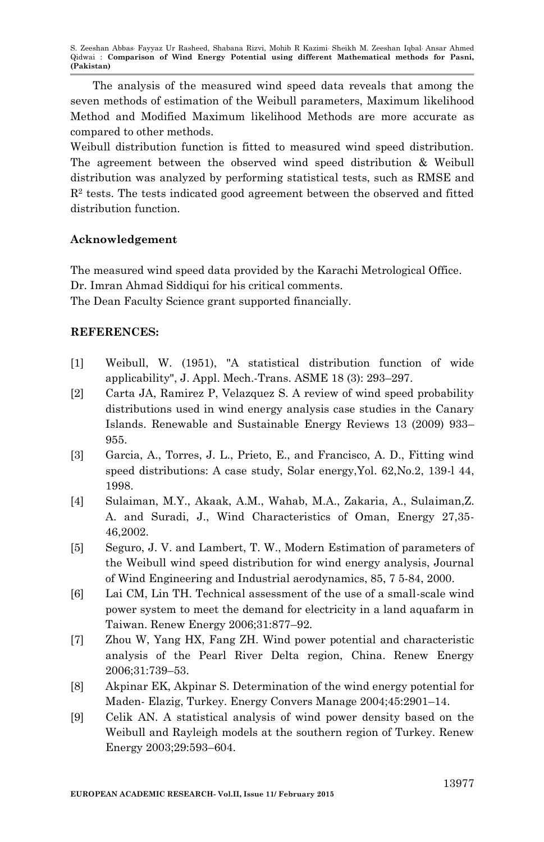The analysis of the measured wind speed data reveals that among the seven methods of estimation of the Weibull parameters, Maximum likelihood Method and Modified Maximum likelihood Methods are more accurate as compared to other methods.

Weibull distribution function is fitted to measured wind speed distribution. The agreement between the observed wind speed distribution & Weibull distribution was analyzed by performing statistical tests, such as RMSE and  $R<sup>2</sup>$  tests. The tests indicated good agreement between the observed and fitted distribution function.

# **Acknowledgement**

The measured wind speed data provided by the Karachi Metrological Office. Dr. Imran Ahmad Siddiqui for his critical comments.

The Dean Faculty Science grant supported financially.

# **REFERENCES:**

- [1] [Weibull, W.](http://en.wikipedia.org/wiki/Waloddi_Weibull) (1951), "A statistical [distribution function of wide](http://www.barringer1.com/wa_files/Weibull-ASME-Paper-1951.pdf)  [applicability",](http://www.barringer1.com/wa_files/Weibull-ASME-Paper-1951.pdf) J. Appl. Mech.-Trans. ASME 18 (3): 293–297.
- [2] Carta JA, Ramirez P, Velazquez S. A review of wind speed probability distributions used in wind energy analysis case studies in the Canary Islands. Renewable and Sustainable Energy Reviews 13 (2009) 933– 955.
- [3] Garcia, A., Torres, J. L., Prieto, E., and Francisco, A. D., Fitting wind speed distributions: A case study, Solar energy,Yol. 62,No.2, 139-l 44, 1998.
- [4] Sulaiman, M.Y., Akaak, A.M., Wahab, M.A., Zakaria, A., Sulaiman,Z. A. and Suradi, J., Wind Characteristics of Oman, Energy 27,35- 46,2002.
- [5] Seguro, J. V. and Lambert, T. W., Modern Estimation of parameters of the Weibull wind speed distribution for wind energy analysis, Journal of Wind Engineering and Industrial aerodynamics, 85, 7 5-84, 2000.
- [6] Lai CM, Lin TH. Technical assessment of the use of a small-scale wind power system to meet the demand for electricity in a land aquafarm in Taiwan. Renew Energy 2006;31:877–92.
- [7] Zhou W, Yang HX, Fang ZH. Wind power potential and characteristic analysis of the Pearl River Delta region, China. Renew Energy 2006;31:739–53.
- [8] Akpinar EK, Akpinar S. Determination of the wind energy potential for Maden- Elazig, Turkey. Energy Convers Manage 2004;45:2901–14.
- [9] Celik AN. A statistical analysis of wind power density based on the Weibull and Rayleigh models at the southern region of Turkey. Renew Energy 2003;29:593–604.